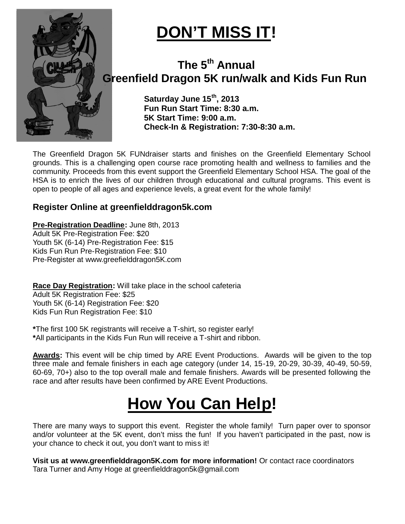

## $\overline{\text{DON'T MISS IT!}}$

### **Greenfield Dragon 5K run/walk and Kids Fun Run and Kids Run The 5th Annual**

**Saturday June 15 th, 2013 Fun Run Start Time: 8:30 a.m. 5K Start Time: 9:00 a.m. Check Check-In & Registration: 7:30-8:30 a.m.**

The Greenfield Dragon 5K FUNdraiser starts and finishes on the Greenfield Elementary School grounds. This is a challenging open course race promoting health and wellness to families and the community. Proceeds from this event support the Greenfield Elementary School HSA. The goal of the HSA is to enrich the lives of our children through educational and cultural programs. This event is open to people of all ages and experience levels, a great event for the whole family!

#### **Register Online at greenfielddragon5k.com**

**Pre-Registration Deadline:** June 8th, 2013 Adult 5K Pre-Registration Fee: \$20 Youth 5K (6-14) Pre-Registration Fee: \$15 Kids Fun Run Pre-Registration Fee: \$10 Pre-Register at www.greefielddragon5K.com

**Race Day Registration:** Will take place in the school cafeteria Adult 5K Registration Fee: \$25 Youth 5K (6-14) Registration Fee: \$20 Kids Fun Run Registration Fee: \$10 e-Registration Fee: \$15<br>Registration Fee: \$10<br>w.greefielddragon5K.com<br>**ation**: Will take place in the school cafeteria<br>on Fee: \$25<br>egistration Fee: \$10<br>egistrants will receive a T-shirt, so register early! HSA is to enrich the lives of our children through educational and cultural programs. This event is<br>open to people of all ages and experience levels, a great event for the whole family!<br>**Register Online at greenfielddragon** 

**\***The first 100 5K registrants will receive a T **\***All participants in the Kids Fun Run will receive a T T-shirt and ribbon.

**Awards:** This event will be chip timed by ARE Event Productions. Awards will be given to the top three male and female finishers in each age category (under 14, 15-19, 20-29, 30-39 60-69, 70+) also to the top overall male and female finishers. Awards will be presented following the 69, race and after results have been confirmed by ARE Event Productions. 60-69, 70+) also to the top overall male and female finishers. Awards will be presented following the race and after results have been confirmed by ARE Event Productions.<br> **HOW YOU CAN Help!**<br>
There are many ways to suppor

# **How You Can Help!**

and/or volunteer at the 5K event, don't miss the fun! If you haven't participated in the past, now is your chance to check it out, you don't want to miss it! and/or volunteer at the 5K event, don't miss the fun! If you haven't participated in the past, no<br>your chance to check it out, you don't want to miss it!<br>**Visit us at www.greenfielddragon5K.com for more information!** Or co

Tara Turner and Amy Hoge at greenfielddragon5k@gmail.com